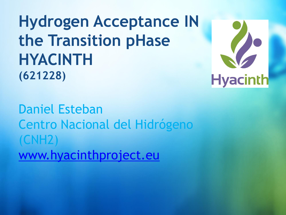# **Hydrogen Acceptance IN the Transition pHase HYACINTH (621228)**



Daniel Esteban Centro Nacional del Hidrógeno (CNH2) [www.hyacinthproject.eu](http://www.hyacinthproject.eu/)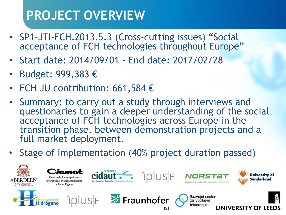# **PROJECT OVERVIEW**

- SP1-JTI-FCH.2013.5.3 (Cross-cutting issues) "Social acceptance of FCH technologies throughout Europe"
- Start date: 2014/09/01 End date: 2017/02/28
- Budget: 999,383 €
- FCH JU contribution: 661,584  $\epsilon$
- Summary: to carry out a study through interviews and questionaries to gain a deeper understanding of the social acceptance of FCH technologies across Europe in the transition phase, between demonstration projects and a full market deployment.
- Stage of implementation (40% project duration passed)

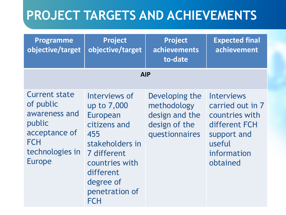| <b>Programme</b><br>objective/target                                                                                            | Project<br>objective/target                                                                                                                                            | Project<br>achievements<br>to-date                                                 | <b>Expected final</b><br>achievement                                                                                         |  |  |  |
|---------------------------------------------------------------------------------------------------------------------------------|------------------------------------------------------------------------------------------------------------------------------------------------------------------------|------------------------------------------------------------------------------------|------------------------------------------------------------------------------------------------------------------------------|--|--|--|
| <b>AIP</b>                                                                                                                      |                                                                                                                                                                        |                                                                                    |                                                                                                                              |  |  |  |
| <b>Current state</b><br>of public<br>awareness and<br>public<br>acceptance of<br><b>FCH</b><br>technologies in<br><b>Europe</b> | Interviews of<br>up to 7,000<br>European<br>citizens and<br>455<br>stakeholders in<br>7 different<br>countries with<br>different<br>degree of<br>penetration of<br>FCH | Developing the<br>methodology<br>design and the<br>design of the<br>questionnaires | <b>Interviews</b><br>carried out in 7<br>countries with<br>different FCH<br>support and<br>useful<br>information<br>obtained |  |  |  |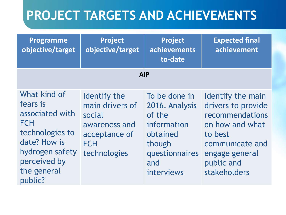| <b>Programme</b><br>objective/target                                                                                                                      | Project<br>objective/target                                                                               | Project<br>achievements<br>to-date                                                                                    | <b>Expected final</b><br>achievement                                                                                                                        |  |  |  |
|-----------------------------------------------------------------------------------------------------------------------------------------------------------|-----------------------------------------------------------------------------------------------------------|-----------------------------------------------------------------------------------------------------------------------|-------------------------------------------------------------------------------------------------------------------------------------------------------------|--|--|--|
| <b>AIP</b>                                                                                                                                                |                                                                                                           |                                                                                                                       |                                                                                                                                                             |  |  |  |
| What kind of<br>fears is<br>associated with<br><b>FCH</b><br>technologies to<br>date? How is<br>hydrogen safety<br>perceived by<br>the general<br>public? | Identify the<br>main drivers of<br>social<br>awareness and<br>acceptance of<br><b>FCH</b><br>technologies | To be done in<br>2016. Analysis<br>of the<br>information<br>obtained<br>though<br>questionnaires<br>and<br>interviews | Identify the main<br>drivers to provide<br>recommendations<br>on how and what<br>to best<br>communicate and<br>engage general<br>public and<br>stakeholders |  |  |  |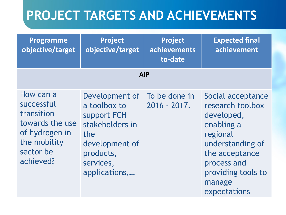| Programme<br>objective/target                                                                                        | Project<br>objective/target                                                                                                          | Project<br>achievements<br>to-date | <b>Expected final</b><br>achievement                                                                                                                                               |  |  |  |
|----------------------------------------------------------------------------------------------------------------------|--------------------------------------------------------------------------------------------------------------------------------------|------------------------------------|------------------------------------------------------------------------------------------------------------------------------------------------------------------------------------|--|--|--|
| <b>AIP</b>                                                                                                           |                                                                                                                                      |                                    |                                                                                                                                                                                    |  |  |  |
| How can a<br>successful<br>transition<br>towards the use<br>of hydrogen in<br>the mobility<br>sector be<br>achieved? | Development of<br>a toolbox to<br>support FCH<br>stakeholders in<br>the<br>development of<br>products,<br>services,<br>applications, | To be done in<br>2016 - 2017.      | Social acceptance<br>research toolbox<br>developed,<br>enabling a<br>regional<br>understanding of<br>the acceptance<br>process and<br>providing tools to<br>manage<br>expectations |  |  |  |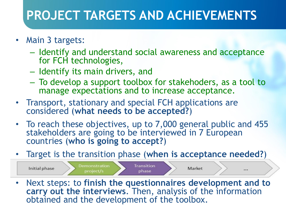- Main 3 targets:
	- Identify and understand social awareness and acceptance for FCH technologies,
	- Identify its main drivers, and
	- To develop a support toolbox for stakehoders, as a tool to manage expectations and to increase acceptance.
- Transport, stationary and special FCH applications are considered (**what needs to be accepted?**)
- To reach these objectives, up to 7,000 general public and 455 stakeholders are going to be interviewed in 7 European countries (**who is going to accept?**)
- Target is the transition phase (**when is acceptance needed?**)



• Next steps: to **finish the questionnaires development and to carry out the interviews**. Then, analysis of the information obtained and the development of the toolbox.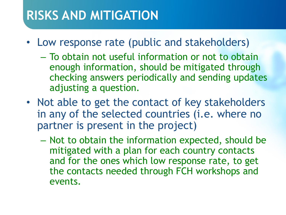#### **RISKS AND MITIGATION**

- Low response rate (public and stakeholders)
	- To obtain not useful information or not to obtain enough information, should be mitigated through checking answers periodically and sending updates adjusting a question.
- Not able to get the contact of key stakeholders in any of the selected countries (i.e. where no partner is present in the project)
	- Not to obtain the information expected, should be mitigated with a plan for each country contacts and for the ones which low response rate, to get the contacts needed through FCH workshops and events.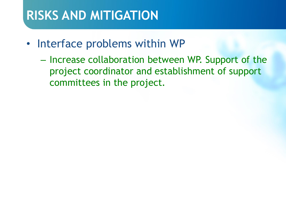#### **RISKS AND MITIGATION**

- Interface problems within WP
	- Increase collaboration between WP. Support of the project coordinator and establishment of support committees in the project.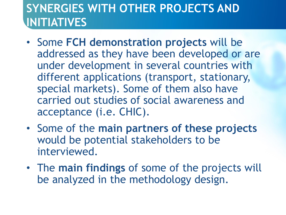#### **SYNERGIES WITH OTHER PROJECTS AND INITIATIVES**

- Some **FCH demonstration projects** will be addressed as they have been developed or are under development in several countries with different applications (transport, stationary, special markets). Some of them also have carried out studies of social awareness and acceptance (i.e. CHIC).
- Some of the **main partners of these projects**  would be potential stakeholders to be interviewed.
- The **main findings** of some of the projects will be analyzed in the methodology design.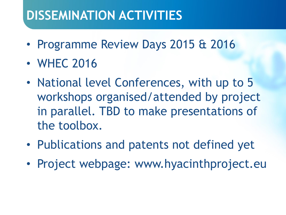## **DISSEMINATION ACTIVITIES**

- Programme Review Days 2015 & 2016
- WHEC 2016
- National level Conferences, with up to 5 workshops organised/attended by project in parallel. TBD to make presentations of the toolbox.
- Publications and patents not defined yet
- Project webpage: www.hyacinthproject.eu